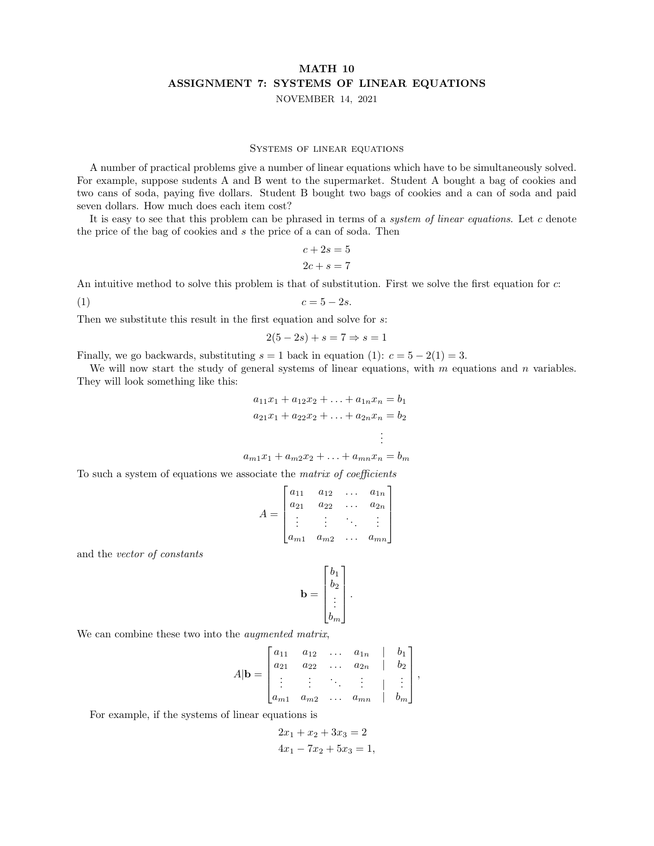# MATH 10 ASSIGNMENT 7: SYSTEMS OF LINEAR EQUATIONS NOVEMBER 14, 2021

#### Systems of linear equations

A number of practical problems give a number of linear equations which have to be simultaneously solved. For example, suppose sudents A and B went to the supermarket. Student A bought a bag of cookies and two cans of soda, paying five dollars. Student B bought two bags of cookies and a can of soda and paid seven dollars. How much does each item cost?

It is easy to see that this problem can be phrased in terms of a system of linear equations. Let  $c$  denote the price of the bag of cookies and s the price of a can of soda. Then

$$
c + 2s = 5
$$

$$
2c + s = 7
$$

An intuitive method to solve this problem is that of substitution. First we solve the first equation for c:

(1)  $c = 5 - 2s$ .

Then we substitute this result in the first equation and solve for s:

$$
2(5-2s) + s = 7 \Rightarrow s = 1
$$

Finally, we go backwards, substituting  $s = 1$  back in equation (1):  $c = 5 - 2(1) = 3$ .

We will now start the study of general systems of linear equations, with  $m$  equations and  $n$  variables. They will look something like this:

$$
a_{11}x_1 + a_{12}x_2 + \ldots + a_{1n}x_n = b_1
$$
  
\n
$$
a_{21}x_1 + a_{22}x_2 + \ldots + a_{2n}x_n = b_2
$$
  
\n
$$
\vdots
$$
  
\n
$$
a_{m1}x_1 + a_{m2}x_2 + \ldots + a_{mn}x_n = b_m
$$

To such a system of equations we associate the matrix of coefficients

$$
A = \begin{bmatrix} a_{11} & a_{12} & \dots & a_{1n} \\ a_{21} & a_{22} & \dots & a_{2n} \\ \vdots & \vdots & \ddots & \vdots \\ a_{m1} & a_{m2} & \dots & a_{mn} \end{bmatrix}
$$

and the vector of constants

$$
\mathbf{b} = \begin{bmatrix} b_1 \\ b_2 \\ \vdots \\ b_m \end{bmatrix}.
$$

We can combine these two into the *augmented matrix*,

$$
A|\mathbf{b} = \begin{bmatrix} a_{11} & a_{12} & \dots & a_{1n} & | & b_1 \\ a_{21} & a_{22} & \dots & a_{2n} & | & b_2 \\ \vdots & \vdots & \ddots & \vdots & | & \vdots \\ a_{m1} & a_{m2} & \dots & a_{mn} & | & b_m \end{bmatrix},
$$

For example, if the systems of linear equations is

$$
2x_1 + x_2 + 3x_3 = 2
$$
  

$$
4x_1 - 7x_2 + 5x_3 = 1,
$$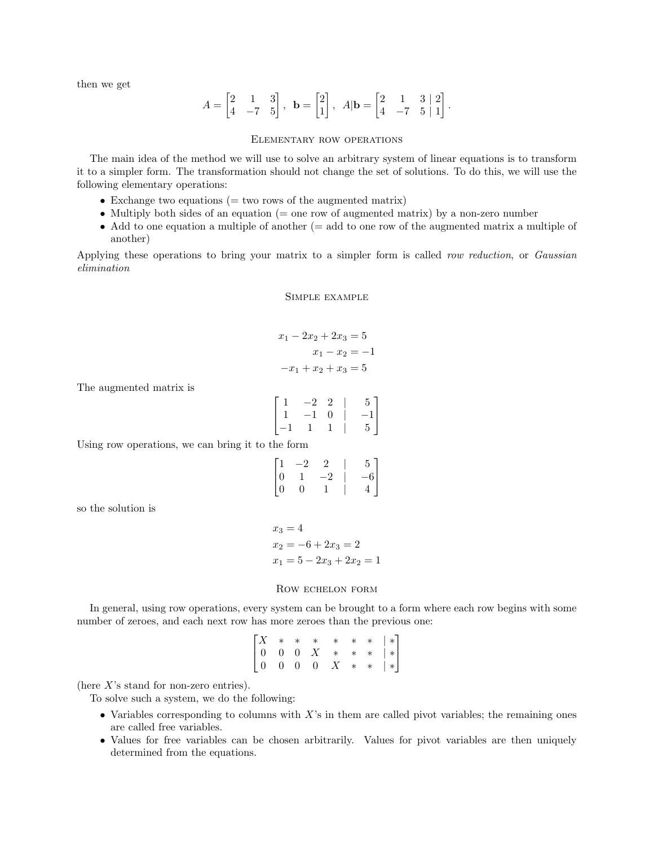then we get

$$
A = \begin{bmatrix} 2 & 1 & 3 \\ 4 & -7 & 5 \end{bmatrix}, \ \mathbf{b} = \begin{bmatrix} 2 \\ 1 \end{bmatrix}, \ A|\mathbf{b} = \begin{bmatrix} 2 & 1 & 3 & | & 2 \\ 4 & -7 & 5 & | & 1 \end{bmatrix}.
$$

### Elementary row operations

The main idea of the method we will use to solve an arbitrary system of linear equations is to transform it to a simpler form. The transformation should not change the set of solutions. To do this, we will use the following elementary operations:

- Exchange two equations  $($  = two rows of the augmented matrix)
- Multiply both sides of an equation ( $=$  one row of augmented matrix) by a non-zero number
- Add to one equation a multiple of another (= add to one row of the augmented matrix a multiple of another)

Applying these operations to bring your matrix to a simpler form is called row reduction, or Gaussian elimination

Simple example

$$
x_1 - 2x_2 + 2x_3 = 5
$$

$$
x_1 - x_2 = -1
$$

$$
-x_1 + x_2 + x_3 = 5
$$

The augmented matrix is

$$
\begin{bmatrix} 1 & -2 & 2 & | & 5 \\ 1 & -1 & 0 & | & -1 \\ -1 & 1 & 1 & | & 5 \end{bmatrix}
$$

Using row operations, we can bring it to the form

$$
\begin{bmatrix} 1 & -2 & 2 & | & 5 \\ 0 & 1 & -2 & | & -6 \\ 0 & 0 & 1 & | & 4 \end{bmatrix}
$$

so the solution is

 $x_3 = 4$  $x_2 = -6 + 2x_3 = 2$  $x_1 = 5 - 2x_3 + 2x_2 = 1$ 

### Row echelon form

In general, using row operations, every system can be brought to a form where each row begins with some number of zeroes, and each next row has more zeroes than the previous one:

$$
\begin{bmatrix} X & * & * & * & * & * & * & * \\ 0 & 0 & 0 & X & * & * & * & * \\ 0 & 0 & 0 & 0 & X & * & * & * \end{bmatrix}
$$

(here  $X$ 's stand for non-zero entries).

To solve such a system, we do the following:

- Variables corresponding to columns with  $X$ 's in them are called pivot variables; the remaining ones are called free variables.
- Values for free variables can be chosen arbitrarily. Values for pivot variables are then uniquely determined from the equations.